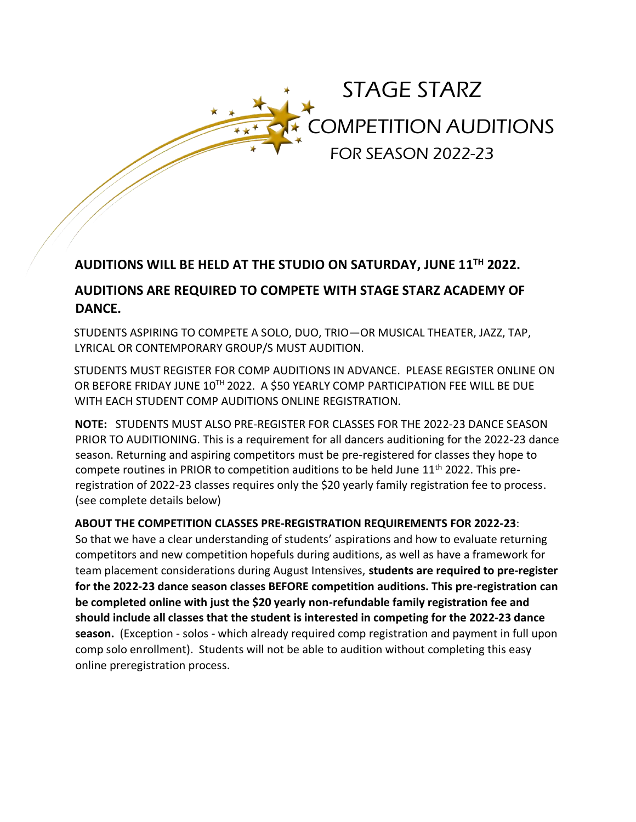

## **AUDITIONS WILL BE HELD AT THE STUDIO ON SATURDAY, JUNE 11 TH 2022.**

## **AUDITIONS ARE REQUIRED TO COMPETE WITH STAGE STARZ ACADEMY OF DANCE.**

STUDENTS ASPIRING TO COMPETE A SOLO, DUO, TRIO—OR MUSICAL THEATER, JAZZ, TAP, LYRICAL OR CONTEMPORARY GROUP/S MUST AUDITION.

STUDENTS MUST REGISTER FOR COMP AUDITIONS IN ADVANCE. PLEASE REGISTER ONLINE ON OR BEFORE FRIDAY JUNE 10TH 2022. A \$50 YEARLY COMP PARTICIPATION FEE WILL BE DUE WITH EACH STUDENT COMP AUDITIONS ONLINE REGISTRATION.

**NOTE:** STUDENTS MUST ALSO PRE-REGISTER FOR CLASSES FOR THE 2022-23 DANCE SEASON PRIOR TO AUDITIONING. This is a requirement for all dancers auditioning for the 2022-23 dance season. Returning and aspiring competitors must be pre-registered for classes they hope to compete routines in PRIOR to competition auditions to be held June 11<sup>th</sup> 2022. This preregistration of 2022-23 classes requires only the \$20 yearly family registration fee to process. (see complete details below)

**ABOUT THE COMPETITION CLASSES PRE-REGISTRATION REQUIREMENTS FOR 2022-23**:

So that we have a clear understanding of students' aspirations and how to evaluate returning competitors and new competition hopefuls during auditions, as well as have a framework for team placement considerations during August Intensives, **students are required to pre-register for the 2022-23 dance season classes BEFORE competition auditions. This pre-registration can be completed online with just the \$20 yearly non-refundable family registration fee and should include all classes that the student is interested in competing for the 2022-23 dance season.** (Exception - solos - which already required comp registration and payment in full upon comp solo enrollment). Students will not be able to audition without completing this easy online preregistration process.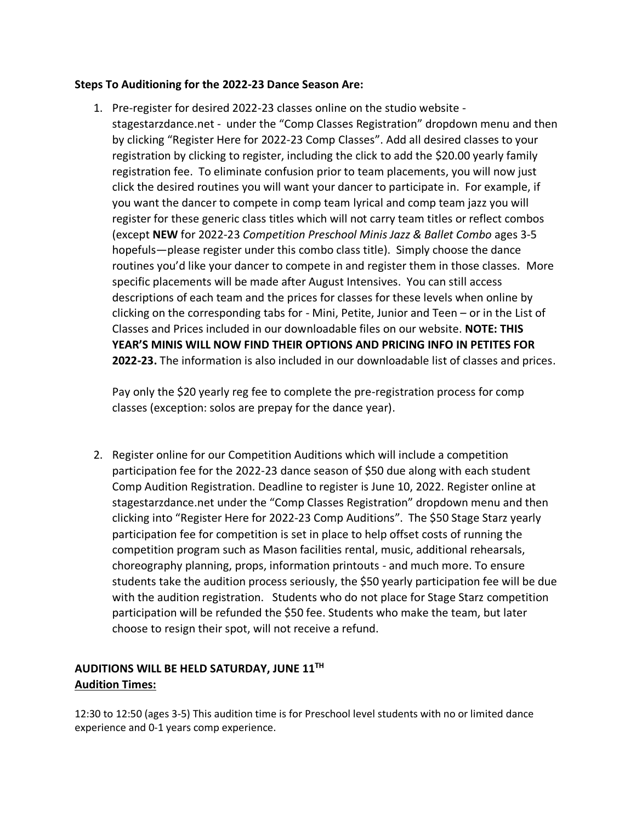## **Steps To Auditioning for the 2022-23 Dance Season Are:**

1. Pre-register for desired 2022-23 classes online on the studio website stagestarzdance.net - under the "Comp Classes Registration" dropdown menu and then by clicking "Register Here for 2022-23 Comp Classes". Add all desired classes to your registration by clicking to register, including the click to add the \$20.00 yearly family registration fee. To eliminate confusion prior to team placements, you will now just click the desired routines you will want your dancer to participate in. For example, if you want the dancer to compete in comp team lyrical and comp team jazz you will register for these generic class titles which will not carry team titles or reflect combos (except **NEW** for 2022-23 *Competition Preschool Minis Jazz & Ballet Combo* ages 3-5 hopefuls—please register under this combo class title). Simply choose the dance routines you'd like your dancer to compete in and register them in those classes. More specific placements will be made after August Intensives. You can still access descriptions of each team and the prices for classes for these levels when online by clicking on the corresponding tabs for - Mini, Petite, Junior and Teen – or in the List of Classes and Prices included in our downloadable files on our website. **NOTE: THIS YEAR'S MINIS WILL NOW FIND THEIR OPTIONS AND PRICING INFO IN PETITES FOR 2022-23.** The information is also included in our downloadable list of classes and prices.

Pay only the \$20 yearly reg fee to complete the pre-registration process for comp classes (exception: solos are prepay for the dance year).

2. Register online for our Competition Auditions which will include a competition participation fee for the 2022-23 dance season of \$50 due along with each student Comp Audition Registration. Deadline to register is June 10, 2022. Register online at stagestarzdance.net under the "Comp Classes Registration" dropdown menu and then clicking into "Register Here for 2022-23 Comp Auditions". The \$50 Stage Starz yearly participation fee for competition is set in place to help offset costs of running the competition program such as Mason facilities rental, music, additional rehearsals, choreography planning, props, information printouts - and much more. To ensure students take the audition process seriously, the \$50 yearly participation fee will be due with the audition registration. Students who do not place for Stage Starz competition participation will be refunded the \$50 fee. Students who make the team, but later choose to resign their spot, will not receive a refund.

## **AUDITIONS WILL BE HELD SATURDAY, JUNE 11TH Audition Times:**

12:30 to 12:50 (ages 3-5) This audition time is for Preschool level students with no or limited dance experience and 0-1 years comp experience.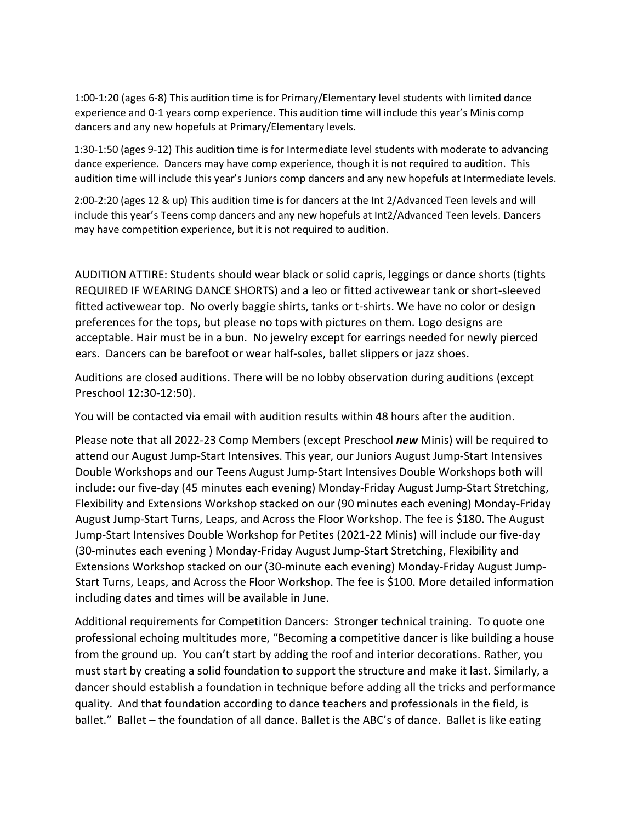1:00-1:20 (ages 6-8) This audition time is for Primary/Elementary level students with limited dance experience and 0-1 years comp experience. This audition time will include this year's Minis comp dancers and any new hopefuls at Primary/Elementary levels.

1:30-1:50 (ages 9-12) This audition time is for Intermediate level students with moderate to advancing dance experience. Dancers may have comp experience, though it is not required to audition. This audition time will include this year's Juniors comp dancers and any new hopefuls at Intermediate levels.

2:00-2:20 (ages 12 & up) This audition time is for dancers at the Int 2/Advanced Teen levels and will include this year's Teens comp dancers and any new hopefuls at Int2/Advanced Teen levels. Dancers may have competition experience, but it is not required to audition.

AUDITION ATTIRE: Students should wear black or solid capris, leggings or dance shorts (tights REQUIRED IF WEARING DANCE SHORTS) and a leo or fitted activewear tank or short-sleeved fitted activewear top. No overly baggie shirts, tanks or t-shirts. We have no color or design preferences for the tops, but please no tops with pictures on them. Logo designs are acceptable. Hair must be in a bun. No jewelry except for earrings needed for newly pierced ears. Dancers can be barefoot or wear half-soles, ballet slippers or jazz shoes.

Auditions are closed auditions. There will be no lobby observation during auditions (except Preschool 12:30-12:50).

You will be contacted via email with audition results within 48 hours after the audition.

Please note that all 2022-23 Comp Members (except Preschool *new* Minis) will be required to attend our August Jump-Start Intensives. This year, our Juniors August Jump-Start Intensives Double Workshops and our Teens August Jump-Start Intensives Double Workshops both will include: our five-day (45 minutes each evening) Monday-Friday August Jump-Start Stretching, Flexibility and Extensions Workshop stacked on our (90 minutes each evening) Monday-Friday August Jump-Start Turns, Leaps, and Across the Floor Workshop. The fee is \$180. The August Jump-Start Intensives Double Workshop for Petites (2021-22 Minis) will include our five-day (30-minutes each evening ) Monday-Friday August Jump-Start Stretching, Flexibility and Extensions Workshop stacked on our (30-minute each evening) Monday-Friday August Jump-Start Turns, Leaps, and Across the Floor Workshop. The fee is \$100. More detailed information including dates and times will be available in June.

Additional requirements for Competition Dancers: Stronger technical training. To quote one professional echoing multitudes more, "Becoming a competitive dancer is like building a house from the ground up. You can't start by adding the roof and interior decorations. Rather, you must start by creating a solid foundation to support the structure and make it last. Similarly, a dancer should establish a foundation in technique before adding all the tricks and performance quality. And that foundation according to dance teachers and professionals in the field, is ballet." Ballet – the foundation of all dance. Ballet is the ABC's of dance. Ballet is like eating